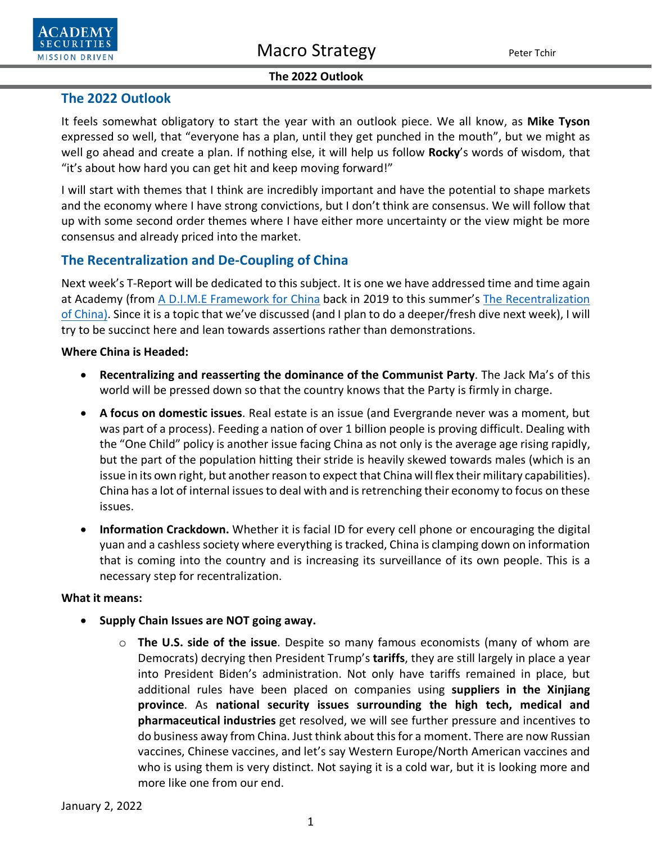

**SECURITIES MISSION DRIVEN** 

### **The 2022 Outlook**

# **The 2022 Outlook**

It feels somewhat obligatory to start the year with an outlook piece. We all know, as **Mike Tyson** expressed so well, that "everyone has a plan, until they get punched in the mouth", but we might as well go ahead and create a plan. If nothing else, it will help us follow **Rocky**'s words of wisdom, that "it's about how hard you can get hit and keep moving forward!"

I will start with themes that I think are incredibly important and have the potential to shape markets and the economy where I have strong convictions, but I don't think are consensus. We will follow that up with some second order themes where I have either more uncertainty or the view might be more consensus and already priced into the market.

# **The Recentralization and De-Coupling of China**

Next week's T-Report will be dedicated to this subject. It is one we have addressed time and time again at Academy (from [A D.I.M.E Framework for China](https://www.academysecurities.com/wordpress/wp-content/uploads/2019/12/A-D.I.M.E.-Framework-for-China-Trade-Strategic-Competition.pdf) back in 2019 to this summer's [The Recentralization](https://www.academysecurities.com/wordpress/wp-content/uploads/2021/08/The-Recentralization-of-China.pdf)  [of China\)](https://www.academysecurities.com/wordpress/wp-content/uploads/2021/08/The-Recentralization-of-China.pdf). Since it is a topic that we've discussed (and I plan to do a deeper/fresh dive next week), I will try to be succinct here and lean towards assertions rather than demonstrations.

### **Where China is Headed:**

- **Recentralizing and reasserting the dominance of the Communist Party**. The Jack Ma's of this world will be pressed down so that the country knows that the Party is firmly in charge.
- **A focus on domestic issues**. Real estate is an issue (and Evergrande never was a moment, but was part of a process). Feeding a nation of over 1 billion people is proving difficult. Dealing with the "One Child" policy is another issue facing China as not only is the average age rising rapidly, but the part of the population hitting their stride is heavily skewed towards males (which is an issue in its own right, but another reason to expect that China will flex their military capabilities). China has a lot of internal issues to deal with and is retrenching their economy to focus on these issues.
- **Information Crackdown.** Whether it is facial ID for every cell phone or encouraging the digital yuan and a cashless society where everything is tracked, China is clamping down on information that is coming into the country and is increasing its surveillance of its own people. This is a necessary step for recentralization.

## **What it means:**

- **Supply Chain Issues are NOT going away.** 
	- o **The U.S. side of the issue**. Despite so many famous economists (many of whom are Democrats) decrying then President Trump's **tariffs**, they are still largely in place a year into President Biden's administration. Not only have tariffs remained in place, but additional rules have been placed on companies using **suppliers in the Xinjiang province**. As **national security issues surrounding the high tech, medical and pharmaceutical industries** get resolved, we will see further pressure and incentives to do business away from China. Just think about this for a moment. There are now Russian vaccines, Chinese vaccines, and let's say Western Europe/North American vaccines and who is using them is very distinct. Not saying it is a cold war, but it is looking more and more like one from our end.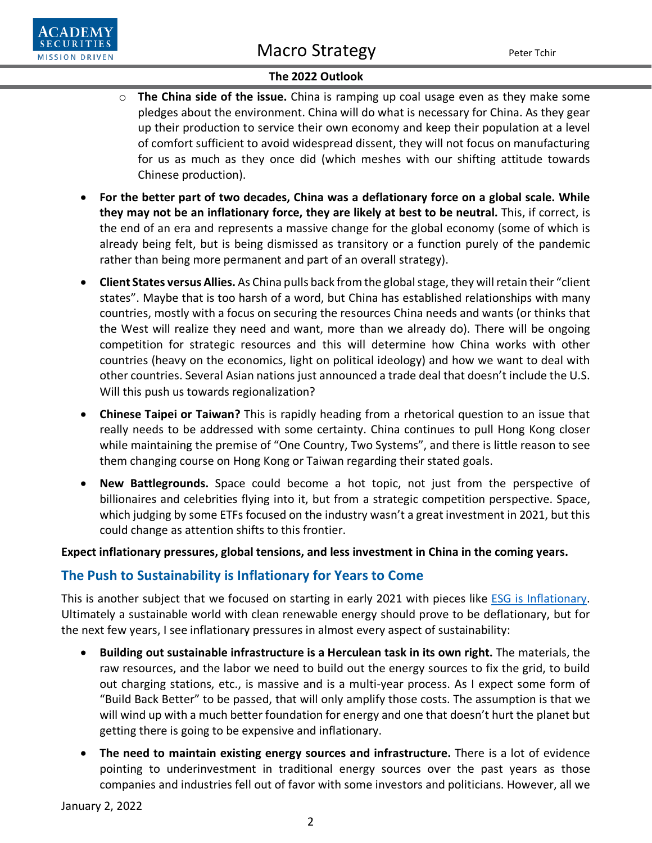

- o **The China side of the issue.** China is ramping up coal usage even as they make some pledges about the environment. China will do what is necessary for China. As they gear up their production to service their own economy and keep their population at a level of comfort sufficient to avoid widespread dissent, they will not focus on manufacturing for us as much as they once did (which meshes with our shifting attitude towards Chinese production).
- **For the better part of two decades, China was a deflationary force on a global scale. While they may not be an inflationary force, they are likely at best to be neutral.** This, if correct, is the end of an era and represents a massive change for the global economy (some of which is already being felt, but is being dismissed as transitory or a function purely of the pandemic rather than being more permanent and part of an overall strategy).
- **Client States versus Allies.** As China pulls back from the global stage, they will retain their "client states". Maybe that is too harsh of a word, but China has established relationships with many countries, mostly with a focus on securing the resources China needs and wants (or thinks that the West will realize they need and want, more than we already do). There will be ongoing competition for strategic resources and this will determine how China works with other countries (heavy on the economics, light on political ideology) and how we want to deal with other countries. Several Asian nations just announced a trade deal that doesn't include the U.S. Will this push us towards regionalization?
- **Chinese Taipei or Taiwan?** This is rapidly heading from a rhetorical question to an issue that really needs to be addressed with some certainty. China continues to pull Hong Kong closer while maintaining the premise of "One Country, Two Systems", and there is little reason to see them changing course on Hong Kong or Taiwan regarding their stated goals.
- **New Battlegrounds.** Space could become a hot topic, not just from the perspective of billionaires and celebrities flying into it, but from a strategic competition perspective. Space, which judging by some ETFs focused on the industry wasn't a great investment in 2021, but this could change as attention shifts to this frontier.

### **Expect inflationary pressures, global tensions, and less investment in China in the coming years.**

# **The Push to Sustainability is Inflationary for Years to Come**

This is another subject that we focused on starting in early 2021 with pieces like [ESG is Inflationary.](https://www.academysecurities.com/wordpress/wp-content/uploads/2021/03/Inflation-Rates-and-Everything-Else.pdf) Ultimately a sustainable world with clean renewable energy should prove to be deflationary, but for the next few years, I see inflationary pressures in almost every aspect of sustainability:

- **Building out sustainable infrastructure is a Herculean task in its own right.** The materials, the raw resources, and the labor we need to build out the energy sources to fix the grid, to build out charging stations, etc., is massive and is a multi-year process. As I expect some form of "Build Back Better" to be passed, that will only amplify those costs. The assumption is that we will wind up with a much better foundation for energy and one that doesn't hurt the planet but getting there is going to be expensive and inflationary.
- **The need to maintain existing energy sources and infrastructure.** There is a lot of evidence pointing to underinvestment in traditional energy sources over the past years as those companies and industries fell out of favor with some investors and politicians. However, all we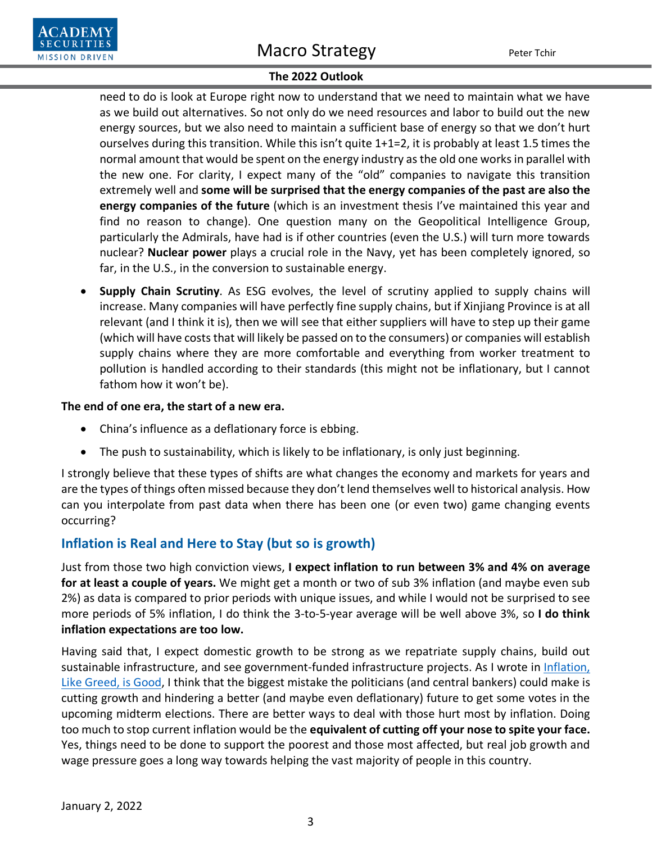

need to do is look at Europe right now to understand that we need to maintain what we have as we build out alternatives. So not only do we need resources and labor to build out the new energy sources, but we also need to maintain a sufficient base of energy so that we don't hurt ourselves during this transition. While this isn't quite 1+1=2, it is probably at least 1.5 times the normal amount that would be spent on the energy industry as the old one works in parallel with the new one. For clarity, I expect many of the "old" companies to navigate this transition extremely well and **some will be surprised that the energy companies of the past are also the energy companies of the future** (which is an investment thesis I've maintained this year and find no reason to change). One question many on the Geopolitical Intelligence Group, particularly the Admirals, have had is if other countries (even the U.S.) will turn more towards nuclear? **Nuclear power** plays a crucial role in the Navy, yet has been completely ignored, so far, in the U.S., in the conversion to sustainable energy.

• **Supply Chain Scrutiny**. As ESG evolves, the level of scrutiny applied to supply chains will increase. Many companies will have perfectly fine supply chains, but if Xinjiang Province is at all relevant (and I think it is), then we will see that either suppliers will have to step up their game (which will have costs that will likely be passed on to the consumers) or companies will establish supply chains where they are more comfortable and everything from worker treatment to pollution is handled according to their standards (this might not be inflationary, but I cannot fathom how it won't be).

### **The end of one era, the start of a new era.**

**SECURITIES MISSION DRIVEN** 

- China's influence as a deflationary force is ebbing.
- The push to sustainability, which is likely to be inflationary, is only just beginning.

I strongly believe that these types of shifts are what changes the economy and markets for years and are the types of things often missed because they don't lend themselves well to historical analysis. How can you interpolate from past data when there has been one (or even two) game changing events occurring?

# **Inflation is Real and Here to Stay (but so is growth)**

Just from those two high conviction views, **I expect inflation to run between 3% and 4% on average for at least a couple of years.** We might get a month or two of sub 3% inflation (and maybe even sub 2%) as data is compared to prior periods with unique issues, and while I would not be surprised to see more periods of 5% inflation, I do think the 3-to-5-year average will be well above 3%, so **I do think inflation expectations are too low.**

Having said that, I expect domestic growth to be strong as we repatriate supply chains, build out sustainable infrastructure, and see government-funded infrastructure projects. As I wrote in Inflation, [Like Greed, is Good,](https://www.academysecurities.com/wordpress/wp-content/uploads/2021/12/Inflation-Like-Greed-Is-Good.pdf) I think that the biggest mistake the politicians (and central bankers) could make is cutting growth and hindering a better (and maybe even deflationary) future to get some votes in the upcoming midterm elections. There are better ways to deal with those hurt most by inflation. Doing too much to stop current inflation would be the **equivalent of cutting off your nose to spite your face.** Yes, things need to be done to support the poorest and those most affected, but real job growth and wage pressure goes a long way towards helping the vast majority of people in this country.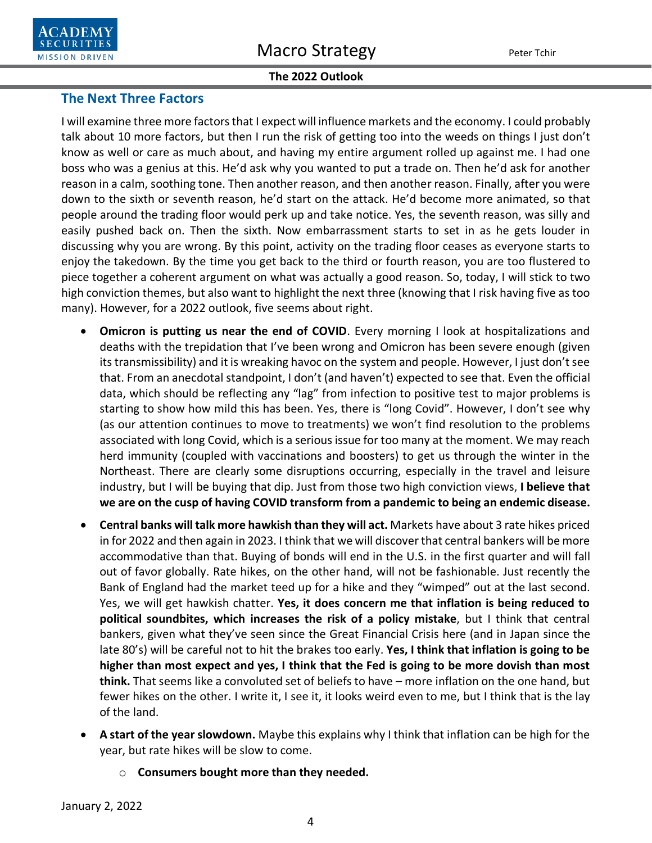# **The Next Three Factors**

I will examine three more factors that I expect will influence markets and the economy. I could probably talk about 10 more factors, but then I run the risk of getting too into the weeds on things I just don't know as well or care as much about, and having my entire argument rolled up against me. I had one boss who was a genius at this. He'd ask why you wanted to put a trade on. Then he'd ask for another reason in a calm, soothing tone. Then another reason, and then another reason. Finally, after you were down to the sixth or seventh reason, he'd start on the attack. He'd become more animated, so that people around the trading floor would perk up and take notice. Yes, the seventh reason, was silly and easily pushed back on. Then the sixth. Now embarrassment starts to set in as he gets louder in discussing why you are wrong. By this point, activity on the trading floor ceases as everyone starts to enjoy the takedown. By the time you get back to the third or fourth reason, you are too flustered to piece together a coherent argument on what was actually a good reason. So, today, I will stick to two high conviction themes, but also want to highlight the next three (knowing that I risk having five as too many). However, for a 2022 outlook, five seems about right.

- **Omicron is putting us near the end of COVID**. Every morning I look at hospitalizations and deaths with the trepidation that I've been wrong and Omicron has been severe enough (given its transmissibility) and it is wreaking havoc on the system and people. However, I just don't see that. From an anecdotal standpoint, I don't (and haven't) expected to see that. Even the official data, which should be reflecting any "lag" from infection to positive test to major problems is starting to show how mild this has been. Yes, there is "long Covid". However, I don't see why (as our attention continues to move to treatments) we won't find resolution to the problems associated with long Covid, which is a serious issue for too many at the moment. We may reach herd immunity (coupled with vaccinations and boosters) to get us through the winter in the Northeast. There are clearly some disruptions occurring, especially in the travel and leisure industry, but I will be buying that dip. Just from those two high conviction views, **I believe that we are on the cusp of having COVID transform from a pandemic to being an endemic disease.**
- **Central banks will talk more hawkish than they will act.** Markets have about 3 rate hikes priced in for 2022 and then again in 2023. I think that we will discover that central bankers will be more accommodative than that. Buying of bonds will end in the U.S. in the first quarter and will fall out of favor globally. Rate hikes, on the other hand, will not be fashionable. Just recently the Bank of England had the market teed up for a hike and they "wimped" out at the last second. Yes, we will get hawkish chatter. **Yes, it does concern me that inflation is being reduced to political soundbites, which increases the risk of a policy mistake**, but I think that central bankers, given what they've seen since the Great Financial Crisis here (and in Japan since the late 80's) will be careful not to hit the brakes too early. **Yes, I think that inflation is going to be higher than most expect and yes, I think that the Fed is going to be more dovish than most think.** That seems like a convoluted set of beliefs to have – more inflation on the one hand, but fewer hikes on the other. I write it, I see it, it looks weird even to me, but I think that is the lay of the land.
- **A start of the year slowdown.** Maybe this explains why I think that inflation can be high for the year, but rate hikes will be slow to come.
	- o **Consumers bought more than they needed.**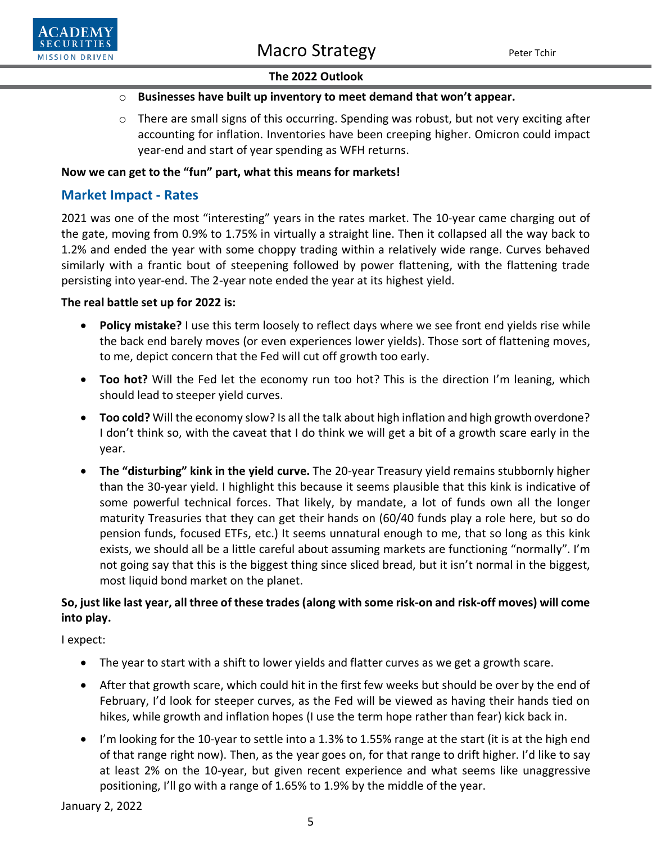

# o **Businesses have built up inventory to meet demand that won't appear.**

 $\circ$  There are small signs of this occurring. Spending was robust, but not very exciting after accounting for inflation. Inventories have been creeping higher. Omicron could impact year-end and start of year spending as WFH returns.

# **Now we can get to the "fun" part, what this means for markets!**

# **Market Impact - Rates**

2021 was one of the most "interesting" years in the rates market. The 10-year came charging out of the gate, moving from 0.9% to 1.75% in virtually a straight line. Then it collapsed all the way back to 1.2% and ended the year with some choppy trading within a relatively wide range. Curves behaved similarly with a frantic bout of steepening followed by power flattening, with the flattening trade persisting into year-end. The 2-year note ended the year at its highest yield.

# **The real battle set up for 2022 is:**

- **Policy mistake?** I use this term loosely to reflect days where we see front end yields rise while the back end barely moves (or even experiences lower yields). Those sort of flattening moves, to me, depict concern that the Fed will cut off growth too early.
- **Too hot?** Will the Fed let the economy run too hot? This is the direction I'm leaning, which should lead to steeper yield curves.
- **Too cold?** Will the economy slow? Is all the talk about high inflation and high growth overdone? I don't think so, with the caveat that I do think we will get a bit of a growth scare early in the year.
- **The "disturbing" kink in the yield curve.** The 20-year Treasury yield remains stubbornly higher than the 30-year yield. I highlight this because it seems plausible that this kink is indicative of some powerful technical forces. That likely, by mandate, a lot of funds own all the longer maturity Treasuries that they can get their hands on (60/40 funds play a role here, but so do pension funds, focused ETFs, etc.) It seems unnatural enough to me, that so long as this kink exists, we should all be a little careful about assuming markets are functioning "normally". I'm not going say that this is the biggest thing since sliced bread, but it isn't normal in the biggest, most liquid bond market on the planet.

# **So, just like last year, all three of these trades (along with some risk-on and risk-off moves) will come into play.**

I expect:

- The year to start with a shift to lower yields and flatter curves as we get a growth scare.
- After that growth scare, which could hit in the first few weeks but should be over by the end of February, I'd look for steeper curves, as the Fed will be viewed as having their hands tied on hikes, while growth and inflation hopes (I use the term hope rather than fear) kick back in.
- I'm looking for the 10-year to settle into a 1.3% to 1.55% range at the start (it is at the high end of that range right now). Then, as the year goes on, for that range to drift higher. I'd like to say at least 2% on the 10-year, but given recent experience and what seems like unaggressive positioning, I'll go with a range of 1.65% to 1.9% by the middle of the year.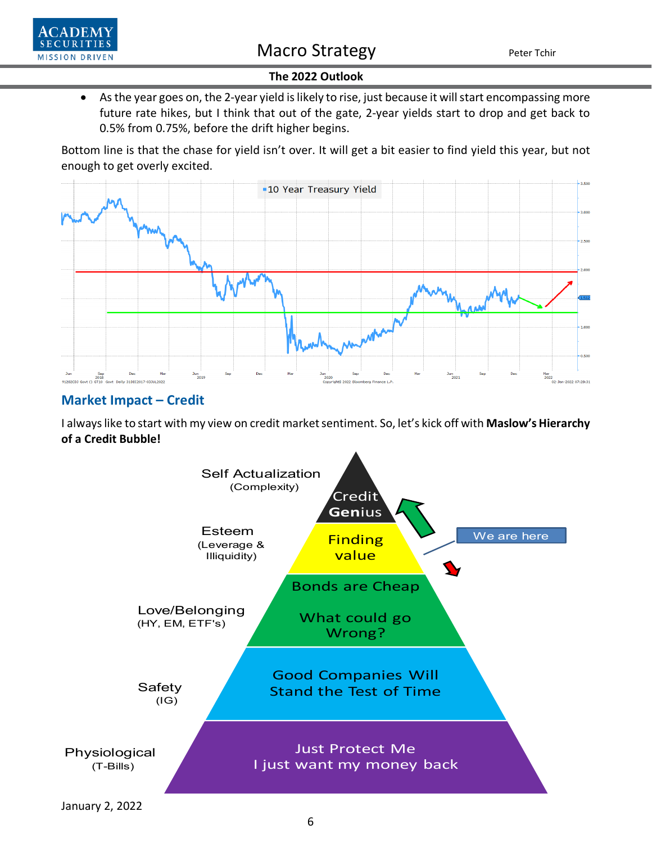



• As the year goes on, the 2-year yield is likely to rise, just because it will start encompassing more future rate hikes, but I think that out of the gate, 2-year yields start to drop and get back to 0.5% from 0.75%, before the drift higher begins.

Bottom line is that the chase for yield isn't over. It will get a bit easier to find yield this year, but not enough to get overly excited.



# **Market Impact – Credit**

I always like to start with my view on credit market sentiment. So, let's kick off with **Maslow's Hierarchy of a Credit Bubble!**

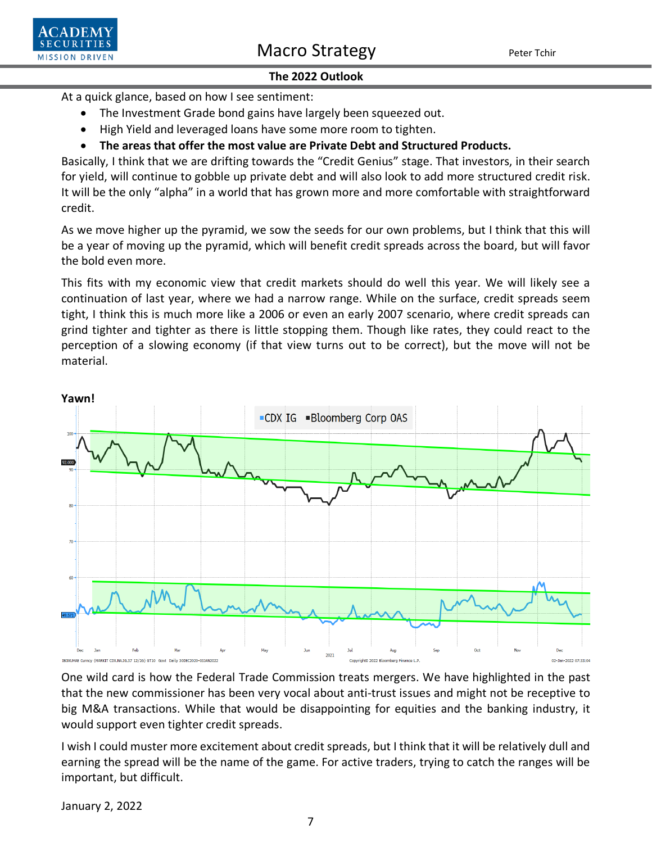

Macro Strategy Peter Tchir

### **The 2022 Outlook**

At a quick glance, based on how I see sentiment:

- The Investment Grade bond gains have largely been squeezed out.
- High Yield and leveraged loans have some more room to tighten.
- **The areas that offer the most value are Private Debt and Structured Products.**

Basically, I think that we are drifting towards the "Credit Genius" stage. That investors, in their search for yield, will continue to gobble up private debt and will also look to add more structured credit risk. It will be the only "alpha" in a world that has grown more and more comfortable with straightforward credit.

As we move higher up the pyramid, we sow the seeds for our own problems, but I think that this will be a year of moving up the pyramid, which will benefit credit spreads across the board, but will favor the bold even more.

This fits with my economic view that credit markets should do well this year. We will likely see a continuation of last year, where we had a narrow range. While on the surface, credit spreads seem tight, I think this is much more like a 2006 or even an early 2007 scenario, where credit spreads can grind tighter and tighter as there is little stopping them. Though like rates, they could react to the perception of a slowing economy (if that view turns out to be correct), but the move will not be material.



One wild card is how the Federal Trade Commission treats mergers. We have highlighted in the past that the new commissioner has been very vocal about anti-trust issues and might not be receptive to big M&A transactions. While that would be disappointing for equities and the banking industry, it would support even tighter credit spreads.

I wish I could muster more excitement about credit spreads, but I think that it will be relatively dull and earning the spread will be the name of the game. For active traders, trying to catch the ranges will be important, but difficult.

January 2, 2022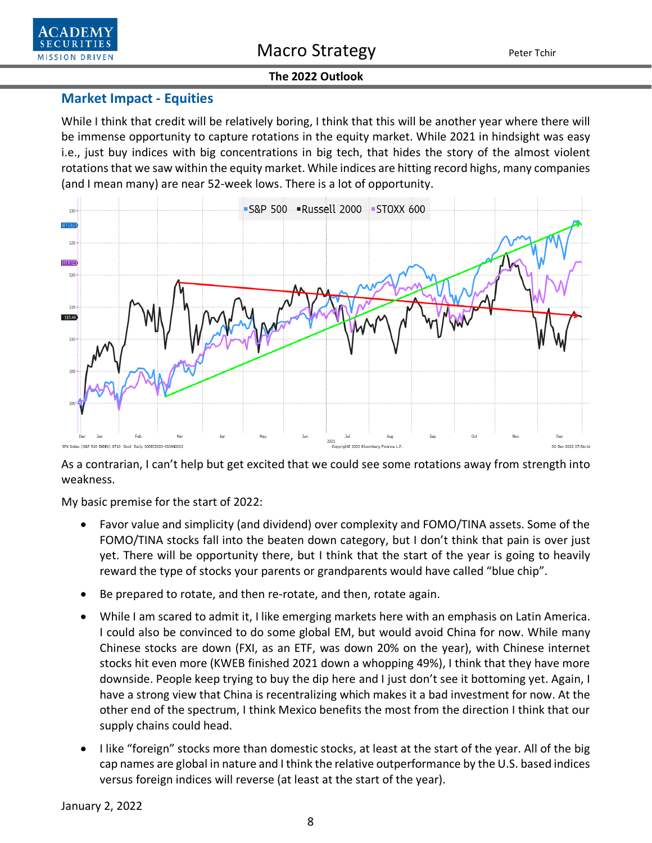



## **Market Impact - Equities**

While I think that credit will be relatively boring, I think that this will be another year where there will be immense opportunity to capture rotations in the equity market. While 2021 in hindsight was easy i.e., just buy indices with big concentrations in big tech, that hides the story of the almost violent rotations that we saw within the equity market. While indices are hitting record highs, many companies (and I mean many) are near 52-week lows. There is a lot of opportunity.



As a contrarian, I can't help but get excited that we could see some rotations away from strength into weakness.

My basic premise for the start of 2022:

- Favor value and simplicity (and dividend) over complexity and FOMO/TINA assets. Some of the FOMO/TINA stocks fall into the beaten down category, but I don't think that pain is over just yet. There will be opportunity there, but I think that the start of the year is going to heavily reward the type of stocks your parents or grandparents would have called "blue chip".
- Be prepared to rotate, and then re-rotate, and then, rotate again.
- While I am scared to admit it, I like emerging markets here with an emphasis on Latin America. I could also be convinced to do some global EM, but would avoid China for now. While many Chinese stocks are down (FXI, as an ETF, was down 20% on the year), with Chinese internet stocks hit even more (KWEB finished 2021 down a whopping 49%), I think that they have more downside. People keep trying to buy the dip here and I just don't see it bottoming yet. Again, I have a strong view that China is recentralizing which makes it a bad investment for now. At the other end of the spectrum, I think Mexico benefits the most from the direction I think that our supply chains could head.
- I like "foreign" stocks more than domestic stocks, at least at the start of the year. All of the big cap names are global in nature and I think the relative outperformance by the U.S. based indices versus foreign indices will reverse (at least at the start of the year).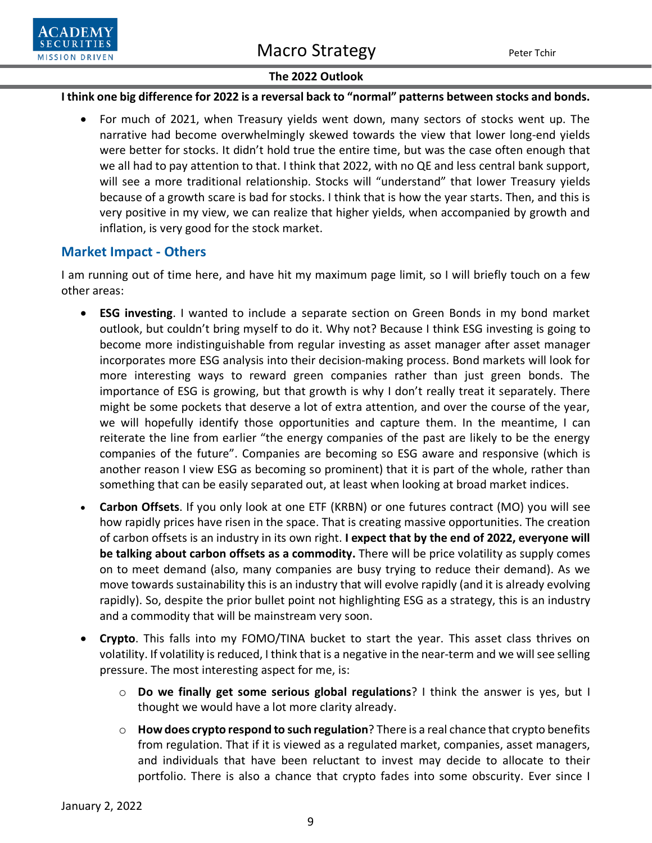

### **I think one big difference for 2022 is a reversal back to "normal" patterns between stocks and bonds.**

• For much of 2021, when Treasury yields went down, many sectors of stocks went up. The narrative had become overwhelmingly skewed towards the view that lower long-end yields were better for stocks. It didn't hold true the entire time, but was the case often enough that we all had to pay attention to that. I think that 2022, with no QE and less central bank support, will see a more traditional relationship. Stocks will "understand" that lower Treasury yields because of a growth scare is bad for stocks. I think that is how the year starts. Then, and this is very positive in my view, we can realize that higher yields, when accompanied by growth and inflation, is very good for the stock market.

# **Market Impact - Others**

I am running out of time here, and have hit my maximum page limit, so I will briefly touch on a few other areas:

- **ESG investing**. I wanted to include a separate section on Green Bonds in my bond market outlook, but couldn't bring myself to do it. Why not? Because I think ESG investing is going to become more indistinguishable from regular investing as asset manager after asset manager incorporates more ESG analysis into their decision-making process. Bond markets will look for more interesting ways to reward green companies rather than just green bonds. The importance of ESG is growing, but that growth is why I don't really treat it separately. There might be some pockets that deserve a lot of extra attention, and over the course of the year, we will hopefully identify those opportunities and capture them. In the meantime, I can reiterate the line from earlier "the energy companies of the past are likely to be the energy companies of the future". Companies are becoming so ESG aware and responsive (which is another reason I view ESG as becoming so prominent) that it is part of the whole, rather than something that can be easily separated out, at least when looking at broad market indices.
- **Carbon Offsets**. If you only look at one ETF (KRBN) or one futures contract (MO) you will see how rapidly prices have risen in the space. That is creating massive opportunities. The creation of carbon offsets is an industry in its own right. **I expect that by the end of 2022, everyone will be talking about carbon offsets as a commodity.** There will be price volatility as supply comes on to meet demand (also, many companies are busy trying to reduce their demand). As we move towards sustainability this is an industry that will evolve rapidly (and it is already evolving rapidly). So, despite the prior bullet point not highlighting ESG as a strategy, this is an industry and a commodity that will be mainstream very soon.
- **Crypto**. This falls into my FOMO/TINA bucket to start the year. This asset class thrives on volatility. If volatility is reduced, I think that is a negative in the near-term and we will see selling pressure. The most interesting aspect for me, is:
	- o **Do we finally get some serious global regulations**? I think the answer is yes, but I thought we would have a lot more clarity already.
	- o **How does crypto respond to such regulation**? There is a real chance that crypto benefits from regulation. That if it is viewed as a regulated market, companies, asset managers, and individuals that have been reluctant to invest may decide to allocate to their portfolio. There is also a chance that crypto fades into some obscurity. Ever since I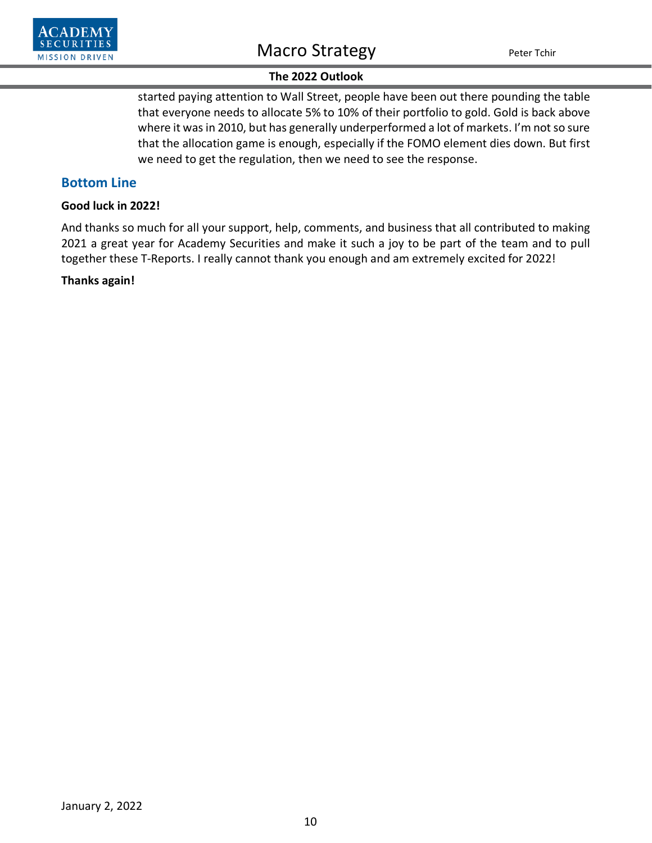

started paying attention to Wall Street, people have been out there pounding the table that everyone needs to allocate 5% to 10% of their portfolio to gold. Gold is back above where it was in 2010, but has generally underperformed a lot of markets. I'm not so sure that the allocation game is enough, especially if the FOMO element dies down. But first we need to get the regulation, then we need to see the response.

### **Bottom Line**

#### **Good luck in 2022!**

And thanks so much for all your support, help, comments, and business that all contributed to making 2021 a great year for Academy Securities and make it such a joy to be part of the team and to pull together these T-Reports. I really cannot thank you enough and am extremely excited for 2022!

### **Thanks again!**